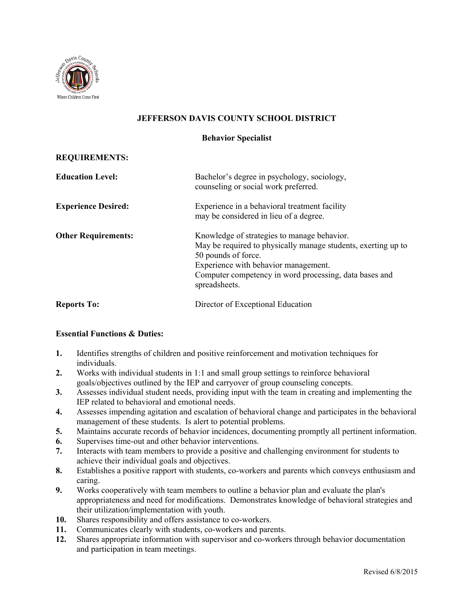

## **JEFFERSON DAVIS COUNTY SCHOOL DISTRICT**

## **Behavior Specialist**

| <b>REQUIREMENTS:</b> |
|----------------------|
|----------------------|

| <b>Education Level:</b>    | Bachelor's degree in psychology, sociology,<br>counseling or social work preferred.                                                                                                                                                                    |
|----------------------------|--------------------------------------------------------------------------------------------------------------------------------------------------------------------------------------------------------------------------------------------------------|
| <b>Experience Desired:</b> | Experience in a behavioral treatment facility<br>may be considered in lieu of a degree.                                                                                                                                                                |
| <b>Other Requirements:</b> | Knowledge of strategies to manage behavior.<br>May be required to physically manage students, exerting up to<br>50 pounds of force.<br>Experience with behavior management.<br>Computer competency in word processing, data bases and<br>spreadsheets. |
| <b>Reports To:</b>         | Director of Exceptional Education                                                                                                                                                                                                                      |

## **Essential Functions & Duties:**

- **1.** Identifies strengths of children and positive reinforcement and motivation techniques for individuals.
- **2.** Works with individual students in 1:1 and small group settings to reinforce behavioral goals/objectives outlined by the IEP and carryover of group counseling concepts.
- **3.** Assesses individual student needs, providing input with the team in creating and implementing the IEP related to behavioral and emotional needs.
- **4.** Assesses impending agitation and escalation of behavioral change and participates in the behavioral management of these students. Is alert to potential problems.
- **5.** Maintains accurate records of behavior incidences, documenting promptly all pertinent information.
- **6.** Supervises time-out and other behavior interventions.
- **7.** Interacts with team members to provide a positive and challenging environment for students to achieve their individual goals and objectives.
- **8.** Establishes a positive rapport with students, co-workers and parents which conveys enthusiasm and caring.
- **9.** Works cooperatively with team members to outline a behavior plan and evaluate the plan's appropriateness and need for modifications. Demonstrates knowledge of behavioral strategies and their utilization/implementation with youth.
- **10.** Shares responsibility and offers assistance to co-workers.
- **11.** Communicates clearly with students, co-workers and parents.
- **12.** Shares appropriate information with supervisor and co-workers through behavior documentation and participation in team meetings.